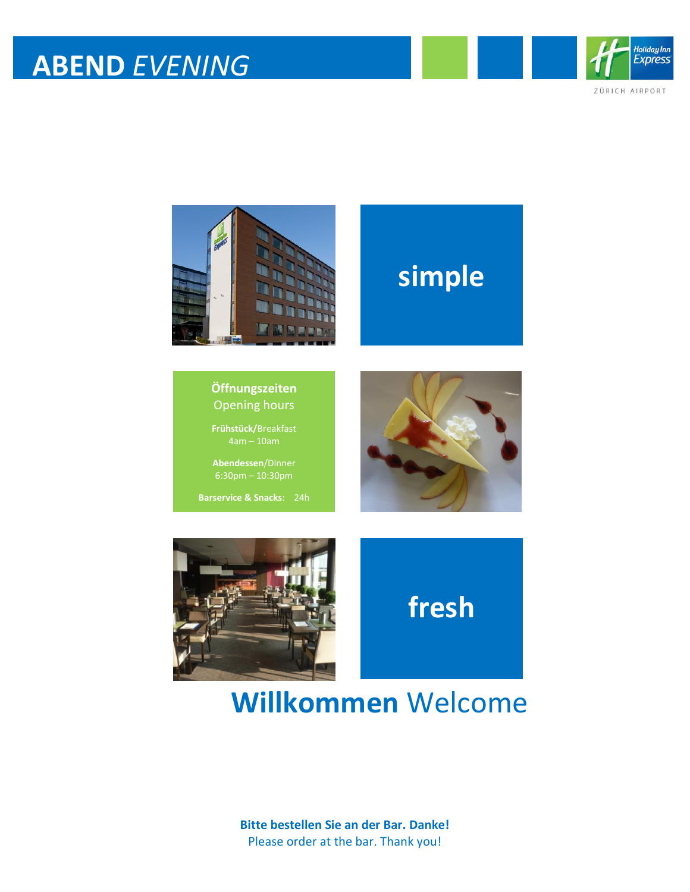

ZÜRICH AIRPORT



### **simple**

#### **Öffnungszeiten** Opening hours

**Frühstück/**Breakfast

**Abendessen**/Dinner

**Barservice & Snacks**: 24h



**fresh**



**Willkommen** Welcome

**Bitte bestellen Sie an der Bar. Danke!** Please order at the bar. Thank you!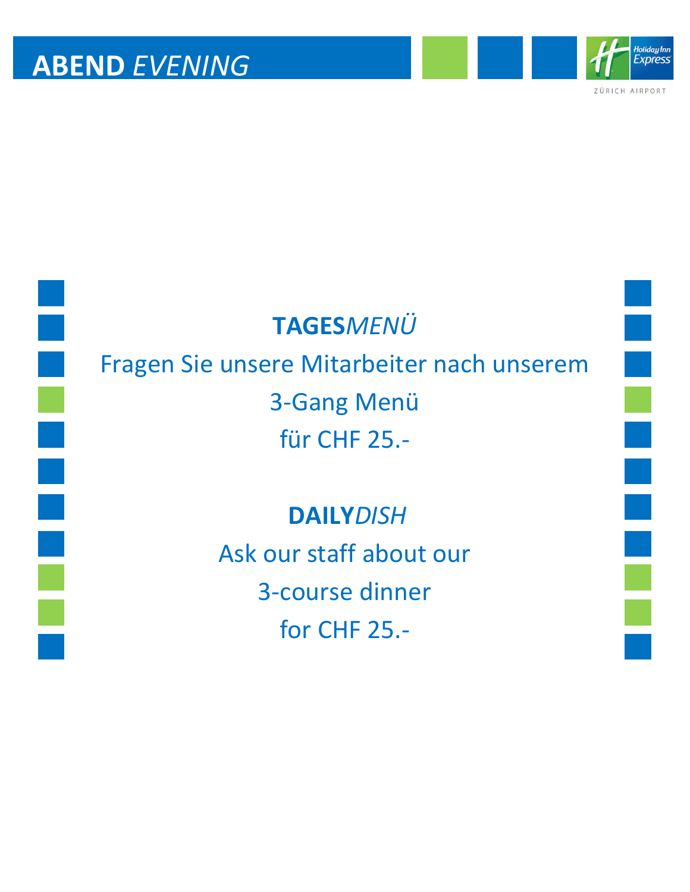

ZÜRICH AIRPORT

i



### **TAGES***MENÜ*

# Fragen Sie unsere Mitarbeiter nach unserem 3-Gang Menü für CHF 25.-

#### **DAILY***DISH*

Ask our staff about our 3-course dinner for CHF 25.-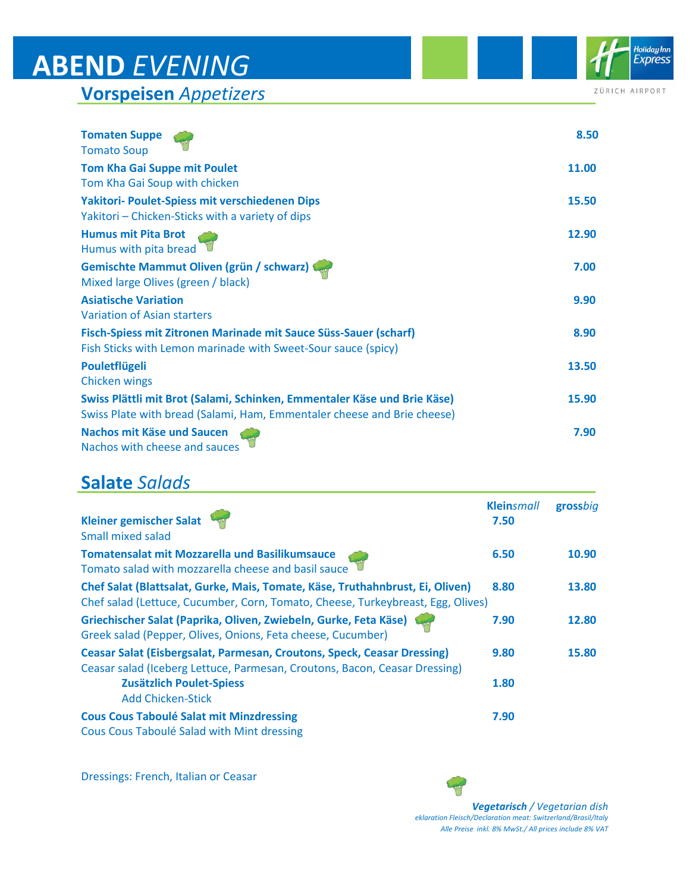**Vorspeisen** *Appetizers*

| ZÜRICH AIRPORT |  |  |  |  |  |
|----------------|--|--|--|--|--|

Holiday Inn<br>Express

| <b>Tomaten Suppe</b><br><b>Tomato Soup</b>                                     | 8.50  |
|--------------------------------------------------------------------------------|-------|
| <b>Tom Kha Gai Suppe mit Poulet</b>                                            | 11.00 |
| Tom Kha Gai Soup with chicken                                                  |       |
| Yakitori- Poulet-Spiess mit verschiedenen Dips                                 | 15.50 |
| Yakitori – Chicken-Sticks with a variety of dips                               |       |
| <b>Humus mit Pita Brot</b><br>Humus with pita bread                            | 12.90 |
| Gemischte Mammut Oliven (grün / schwarz)<br>Mixed large Olives (green / black) | 7.00  |
| <b>Asiatische Variation</b>                                                    | 9.90  |
| Variation of Asian starters                                                    |       |
| Fisch-Spiess mit Zitronen Marinade mit Sauce Süss-Sauer (scharf)               | 8.90  |
| Fish Sticks with Lemon marinade with Sweet-Sour sauce (spicy)                  |       |
| Pouletflügeli                                                                  | 13.50 |
| <b>Chicken wings</b>                                                           |       |
| Swiss Plättli mit Brot (Salami, Schinken, Emmentaler Käse und Brie Käse)       | 15.90 |
| Swiss Plate with bread (Salami, Ham, Emmentaler cheese and Brie cheese)        |       |
| Nachos mit Käse und Saucen<br>Nachos with cheese and sauces                    | 7.90  |

#### **Salate** *Salads*

| <b>Kleiner gemischer Salat</b><br><b>Small mixed salad</b>                                                                                                       | <b>Kleinsmall</b><br>7.50 | grossbig |
|------------------------------------------------------------------------------------------------------------------------------------------------------------------|---------------------------|----------|
| <b>Tomatensalat mit Mozzarella und Basilikumsauce</b><br>Tomato salad with mozzarella cheese and basil sauce                                                     | 6.50                      | 10.90    |
| Chef Salat (Blattsalat, Gurke, Mais, Tomate, Käse, Truthahnbrust, Ei, Oliven)<br>Chef salad (Lettuce, Cucumber, Corn, Tomato, Cheese, Turkeybreast, Egg, Olives) | 8.80                      | 13.80    |
| Griechischer Salat (Paprika, Oliven, Zwiebeln, Gurke, Feta Käse)<br>Greek salad (Pepper, Olives, Onions, Feta cheese, Cucumber)                                  | 7.90                      | 12.80    |
| <b>Ceasar Salat (Eisbergsalat, Parmesan, Croutons, Speck, Ceasar Dressing)</b><br>Ceasar salad (Iceberg Lettuce, Parmesan, Croutons, Bacon, Ceasar Dressing)     | 9.80                      | 15.80    |
| <b>Zusätzlich Poulet-Spiess</b><br><b>Add Chicken-Stick</b>                                                                                                      | 1.80                      |          |
| <b>Cous Cous Taboulé Salat mit Minzdressing</b><br>Cous Cous Taboulé Salad with Mint dressing                                                                    | 7.90                      |          |

Dressings: French, Italian or Ceasar

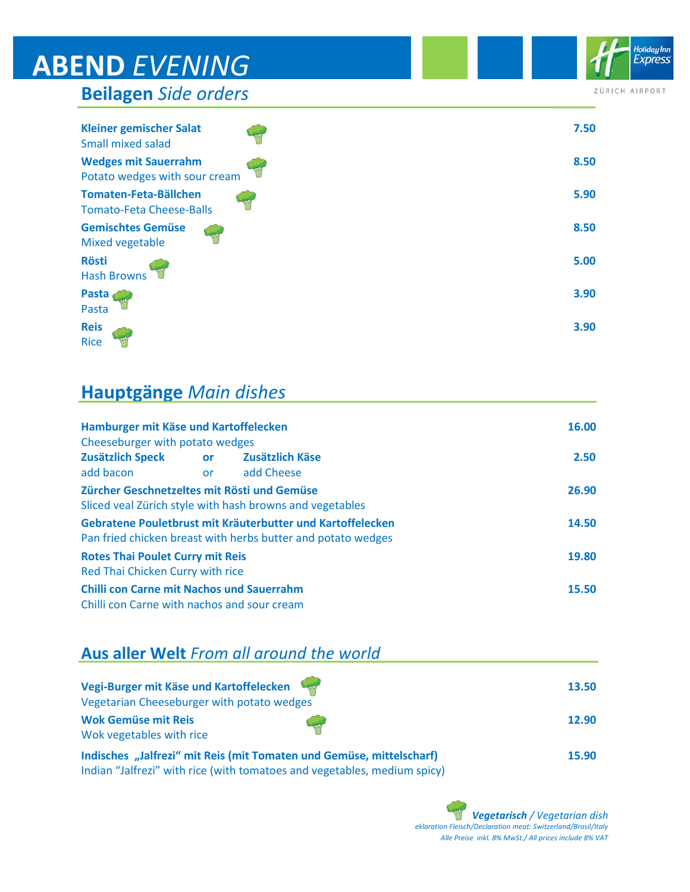**Beilagen** *Side orders*

| <b>Kleiner gemischer Salat</b><br><b>Small mixed salad</b>   | 7.50 |
|--------------------------------------------------------------|------|
| <b>Wedges mit Sauerrahm</b><br>Potato wedges with sour cream | 8.50 |
| Tomaten-Feta-Bällchen<br><b>Tomato-Feta Cheese-Balls</b>     | 5.90 |
| <b>Gemischtes Gemüse</b><br>Mixed vegetable                  | 8.50 |
| <b>Rösti</b><br><b>Hash Browns</b>                           | 5.00 |
| Pasta<br>Pasta                                               | 3.90 |
| <b>Reis</b><br><b>Rice</b>                                   | 3.90 |

#### **Hauptgänge** *Main dishes*

| Hamburger mit Käse und Kartoffelecken                                                                   |           |                                                                                                                            | 16.00 |
|---------------------------------------------------------------------------------------------------------|-----------|----------------------------------------------------------------------------------------------------------------------------|-------|
| Cheeseburger with potato wedges                                                                         |           |                                                                                                                            |       |
| <b>Zusätzlich Speck</b>                                                                                 | <b>or</b> | Zusätzlich Käse                                                                                                            | 2.50  |
| add bacon                                                                                               | or        | add Cheese                                                                                                                 |       |
| Zürcher Geschnetzeltes mit Rösti und Gemüse<br>Sliced veal Zürich style with hash browns and vegetables |           |                                                                                                                            | 26.90 |
|                                                                                                         |           | Gebratene Pouletbrust mit Kräuterbutter und Kartoffelecken<br>Pan fried chicken breast with herbs butter and potato wedges | 14.50 |
| <b>Rotes Thai Poulet Curry mit Reis</b><br>Red Thai Chicken Curry with rice                             |           | 19.80                                                                                                                      |       |
| <b>Chilli con Carne mit Nachos und Sauerrahm</b><br>Chilli con Carne with nachos and sour cream         |           | 15.50                                                                                                                      |       |

#### **Aus aller Welt** *From all around the world*

| Vegi-Burger mit Käse und Kartoffelecken<br>Vegetarian Cheeseburger with potato wedges |        | 13.50 |
|---------------------------------------------------------------------------------------|--------|-------|
| <b>Wok Gemüse mit Reis</b><br>Wok vegetables with rice                                | سلمانا | 12.90 |
| Indisches "Jalfrezi" mit Reis (mit Tomaten und Gemüse, mittelscharf)                  |        | 15.90 |

Indian "Jalfrezi" with rice (with tomatoes and vegetables, medium spicy)



ZÜRICH AIRPORT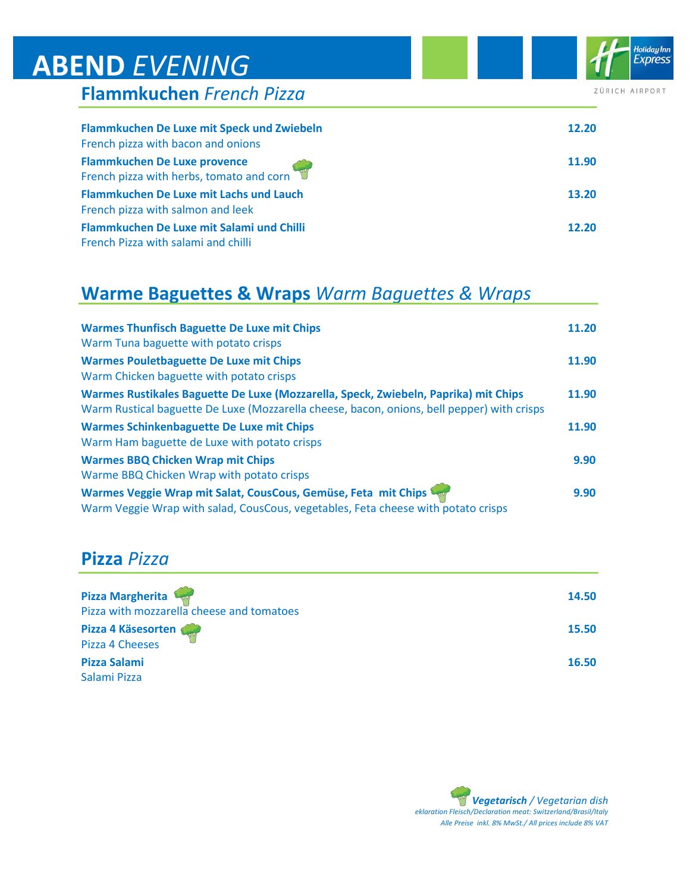|  |  | <b>Flammkuchen French Pizza</b> |  |  |
|--|--|---------------------------------|--|--|
|--|--|---------------------------------|--|--|

| Flammkuchen De Luxe mit Speck und Zwiebeln                                      | 12.20 |
|---------------------------------------------------------------------------------|-------|
| French pizza with bacon and onions                                              |       |
| <b>Flammkuchen De Luxe provence</b><br>French pizza with herbs, tomato and corn | 11.90 |
| Flammkuchen De Luxe mit Lachs und Lauch                                         | 13.20 |
| French pizza with salmon and leek                                               |       |
| Flammkuchen De Luxe mit Salami und Chilli                                       | 12.20 |
| French Pizza with salami and chilli                                             |       |

#### **Warme Baguettes & Wraps** *Warm Baguettes & Wraps*

| <b>Warmes Thunfisch Baguette De Luxe mit Chips</b><br>Warm Tuna baguette with potato crisps                                                                                       | 11.20 |
|-----------------------------------------------------------------------------------------------------------------------------------------------------------------------------------|-------|
| <b>Warmes Pouletbaguette De Luxe mit Chips</b><br>Warm Chicken baguette with potato crisps                                                                                        | 11.90 |
| Warmes Rustikales Baguette De Luxe (Mozzarella, Speck, Zwiebeln, Paprika) mit Chips<br>Warm Rustical baguette De Luxe (Mozzarella cheese, bacon, onions, bell pepper) with crisps | 11.90 |
| <b>Warmes Schinkenbaguette De Luxe mit Chips</b><br>Warm Ham baguette de Luxe with potato crisps                                                                                  | 11.90 |
| <b>Warmes BBQ Chicken Wrap mit Chips</b><br>Warme BBQ Chicken Wrap with potato crisps                                                                                             | 9.90  |
| Warmes Veggie Wrap mit Salat, CousCous, Gemüse, Feta mit Chips<br>Warm Veggie Wrap with salad, CousCous, vegetables, Feta cheese with potato crisps                               | 9.90  |

#### **Pizza** *Pizza*

| Pizza Margherita<br>Pizza with mozzarella cheese and tomatoes | 14.50 |
|---------------------------------------------------------------|-------|
| Pizza 4 Käsesorten<br>Pizza 4 Cheeses                         | 15.50 |
| <b>Pizza Salami</b><br>Salami Pizza                           | 16.50 |

Holiday Inn<br>Express

ZÜRICH AIRPORT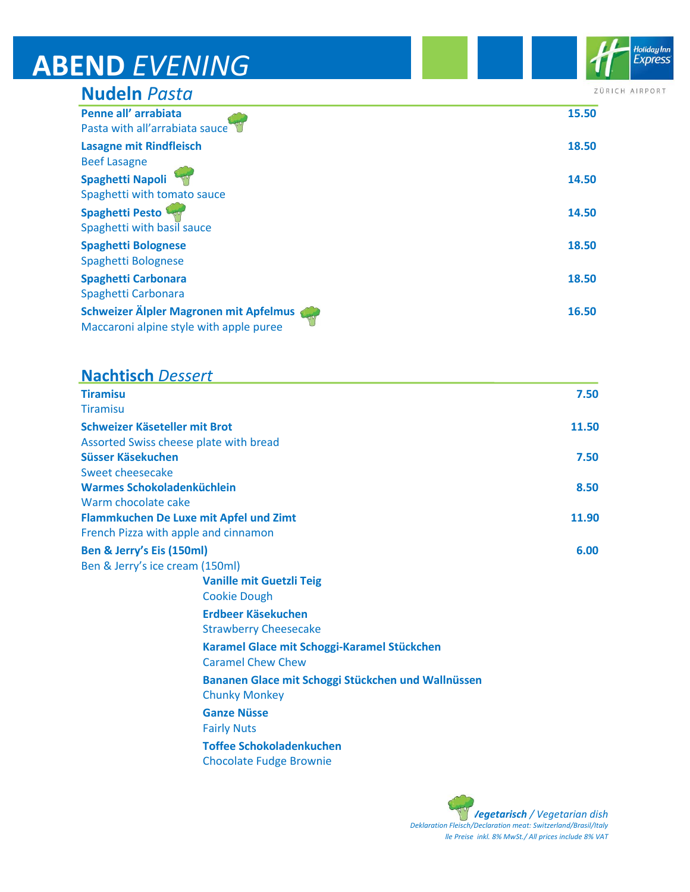| <b>Nudeln Pasta</b>                                                               | ZÜRIC |
|-----------------------------------------------------------------------------------|-------|
| Penne all' arrabiata<br>Pasta with all'arrabiata sauce                            | 15.50 |
| <b>Lasagne mit Rindfleisch</b><br><b>Beef Lasagne</b>                             | 18.50 |
| Spaghetti Napoli<br>Spaghetti with tomato sauce                                   | 14.50 |
| <b>Spaghetti Pesto</b><br>Spaghetti with basil sauce                              | 14.50 |
| <b>Spaghetti Bolognese</b><br>Spaghetti Bolognese                                 | 18.50 |
| <b>Spaghetti Carbonara</b><br>Spaghetti Carbonara                                 | 18.50 |
| Schweizer Älpler Magronen mit Apfelmus<br>Maccaroni alpine style with apple puree | 16.50 |

#### **Nachtisch** *Dessert*

| <b>Tiramisu</b>                                                            | 7.50  |
|----------------------------------------------------------------------------|-------|
| Tiramisu                                                                   |       |
| Schweizer Käseteller mit Brot                                              | 11.50 |
| Assorted Swiss cheese plate with bread                                     |       |
| Süsser Käsekuchen                                                          | 7.50  |
| Sweet cheesecake                                                           |       |
| Warmes Schokoladenküchlein                                                 | 8.50  |
| Warm chocolate cake                                                        |       |
| Flammkuchen De Luxe mit Apfel und Zimt                                     | 11.90 |
| French Pizza with apple and cinnamon                                       |       |
| Ben & Jerry's Eis (150ml)                                                  | 6.00  |
| Ben & Jerry's ice cream (150ml)                                            |       |
| <b>Vanille mit Guetzli Teig</b>                                            |       |
| <b>Cookie Dough</b>                                                        |       |
| Erdbeer Käsekuchen                                                         |       |
| <b>Strawberry Cheesecake</b>                                               |       |
| Karamel Glace mit Schoggi-Karamel Stückchen<br><b>Caramel Chew Chew</b>    |       |
| Bananen Glace mit Schoggi Stückchen und Wallnüssen<br><b>Chunky Monkey</b> |       |
| <b>Ganze Nüsse</b>                                                         |       |
| <b>Fairly Nuts</b>                                                         |       |
| <b>Toffee Schokoladenkuchen</b>                                            |       |
| <b>Chocolate Fudge Brownie</b>                                             |       |

*Vegetarisch / Vegetarian dish Deklaration Fleisch/Declaration meat: Switzerland/Brasil/Italy lle Preise inkl. 8% MwSt./ All prices include 8% VAT*

Holiday Inn **Express** 

CH AIRPORT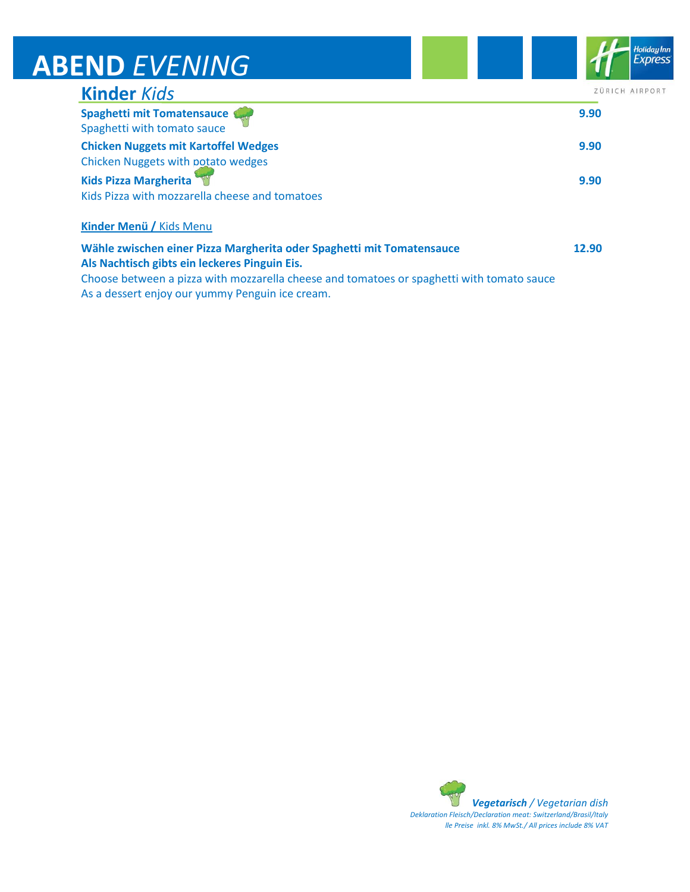| END LVLIVIIVU                                                                     |                |
|-----------------------------------------------------------------------------------|----------------|
| <b>Kinder Kids</b>                                                                | ZÜRICH AIRPORT |
| Spaghetti mit Tomatensauce<br>Spaghetti with tomato sauce                         | 9.90           |
| <b>Chicken Nuggets mit Kartoffel Wedges</b><br>Chicken Nuggets with potato wedges | 9.90           |
| <b>Kids Pizza Margherita</b><br>Kids Pizza with mozzarella cheese and tomatoes    | 9.90           |
| Kinder Menü / Kids Menu                                                           |                |
| Wähle zwischen einer Pizza Margherita oder Spaghetti mit Tomatensauce             | 12.90          |

**Als Nachtisch gibts ein leckeres Pinguin Eis.**

Choose between a pizza with mozzarella cheese and tomatoes or spaghetti with tomato sauce As a dessert enjoy our yummy Penguin ice cream.

> *Vegetarisch / Vegetarian dish Deklaration Fleisch/Declaration meat: Switzerland/Brasil/Italy lle Preise inkl. 8% MwSt./ All prices include 8% VAT*

Holiday Inn<br>Express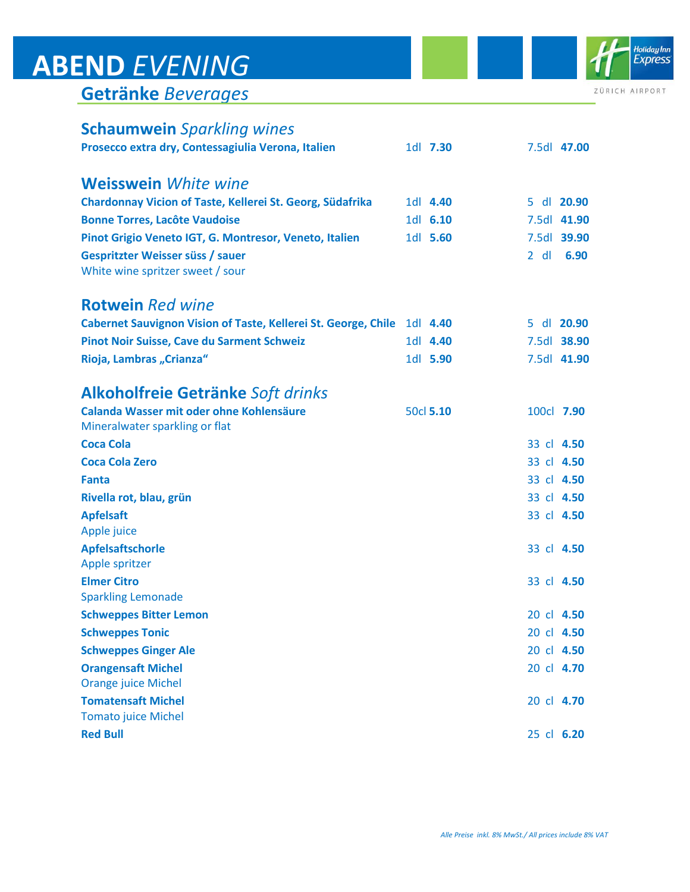|  | Getränke Beverages |
|--|--------------------|
|  |                    |

| <b>Schaumwein</b> Sparkling wines                                          |           |            |             |
|----------------------------------------------------------------------------|-----------|------------|-------------|
| Prosecco extra dry, Contessagiulia Verona, Italien                         | 1dl 7.30  |            | 7.5dl 47.00 |
| <b>Weisswein</b> White wine                                                |           |            |             |
| Chardonnay Vicion of Taste, Kellerei St. Georg, Südafrika                  | 1dl 4.40  | 5.         | dl 20.90    |
| <b>Bonne Torres, Lacôte Vaudoise</b>                                       | 1d 6.10   |            | 7.5dl 41.90 |
| Pinot Grigio Veneto IGT, G. Montresor, Veneto, Italien                     | 1dl 5.60  |            | 7.5dl 39.90 |
| Gespritzter Weisser süss / sauer<br>White wine spritzer sweet / sour       |           | $2$ dl     | 6.90        |
| <b>Rotwein</b> Red wine                                                    |           |            |             |
| <b>Cabernet Sauvignon Vision of Taste, Kellerei St. George, Chile</b>      | 1dl 4.40  | 5.         | dl 20.90    |
| Pinot Noir Suisse, Cave du Sarment Schweiz                                 | 1dl 4.40  |            | 7.5dl 38.90 |
| Rioja, Lambras "Crianza"                                                   | 1dl 5.90  |            | 7.5dl 41.90 |
| Alkoholfreie Getränke Soft drinks                                          |           |            |             |
| Calanda Wasser mit oder ohne Kohlensäure<br>Mineralwater sparkling or flat | 50cl 5.10 | 100cl 7.90 |             |
| <b>Coca Cola</b>                                                           |           | 33 cl 4.50 |             |
| <b>Coca Cola Zero</b>                                                      |           | 33 cl 4.50 |             |
| <b>Fanta</b>                                                               |           | 33 cl 4.50 |             |
| Rivella rot, blau, grün                                                    |           | 33 cl 4.50 |             |
| <b>Apfelsaft</b>                                                           |           | 33 cl 4.50 |             |
| Apple juice                                                                |           |            |             |
| <b>Apfelsaftschorle</b>                                                    |           | 33 cl 4.50 |             |
| Apple spritzer                                                             |           |            |             |
| <b>Elmer Citro</b>                                                         |           | 33 cl 4.50 |             |
| <b>Sparkling Lemonade</b>                                                  |           |            |             |
| <b>Schweppes Bitter Lemon</b>                                              |           | 20 cl 4.50 |             |
| <b>Schweppes Tonic</b>                                                     |           | 20 cl 4.50 |             |
| <b>Schweppes Ginger Ale</b>                                                |           | 20 cl 4.50 |             |
| <b>Orangensaft Michel</b><br><b>Orange juice Michel</b>                    |           | 20 cl 4.70 |             |
| <b>Tomatensaft Michel</b>                                                  |           | 20 cl 4.70 |             |
| <b>Tomato juice Michel</b>                                                 |           |            |             |
| <b>Red Bull</b>                                                            |           | 25 cl 6.20 |             |



ZÜRICH AIRPORT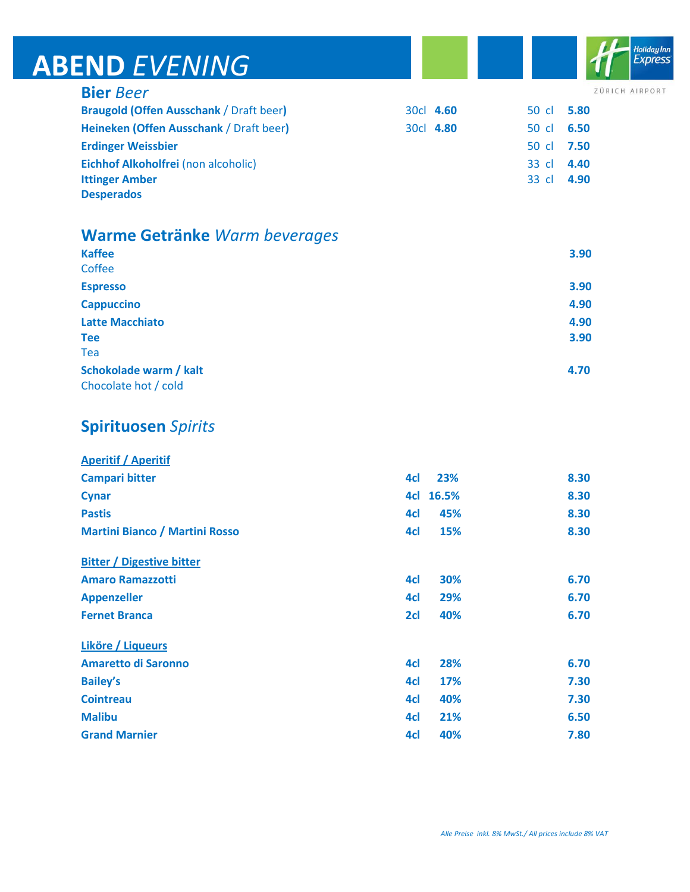**Bier** *Beer*

Holiday Inn<br>Express

ZÜRICH AIRPORT

| <b>Braugold (Offen Ausschank / Draft beer)</b> | 30cl 4.60 | 50 cl 5.80 |      |
|------------------------------------------------|-----------|------------|------|
| Heineken (Offen Ausschank / Draft beer)        | 30cl 4.80 | 50 cl 6.50 |      |
| <b>Erdinger Weissbier</b>                      |           | 50 cl 7.50 |      |
| Eichhof Alkoholfrei (non alcoholic)            |           | 33 cl      | 4.40 |
| <b>Ittinger Amber</b>                          |           | 33 cl 4.90 |      |
| <b>Desperados</b>                              |           |            |      |

#### **Warme Getränke** *Warm beverages*

| <b>Kaffee</b><br>Coffee | 3.90 |
|-------------------------|------|
|                         |      |
| <b>Espresso</b>         | 3.90 |
| <b>Cappuccino</b>       | 4.90 |
| <b>Latte Macchiato</b>  | 4.90 |
| <b>Tee</b>              | 3.90 |
| Tea                     |      |
| Schokolade warm / kalt  | 4.70 |
| Chocolate hot / cold    |      |

#### **Spirituosen** *Spirits*

| <b>Aperitif / Aperitif</b>            |     |            |      |
|---------------------------------------|-----|------------|------|
| <b>Campari bitter</b>                 | 4cl | 23%        | 8.30 |
| <b>Cynar</b>                          | 4cl | 16.5%      | 8.30 |
| <b>Pastis</b>                         | 4cl | 45%        | 8.30 |
| <b>Martini Bianco / Martini Rosso</b> | 4cl | 15%        | 8.30 |
| <b>Bitter / Digestive bitter</b>      |     |            |      |
| <b>Amaro Ramazzotti</b>               | 4cl | 30%        | 6.70 |
| <b>Appenzeller</b>                    | 4cl | 29%        | 6.70 |
| <b>Fernet Branca</b>                  | 2cl | 40%        | 6.70 |
| <b>Liköre / Liqueurs</b>              |     |            |      |
| <b>Amaretto di Saronno</b>            | 4cl | 28%        | 6.70 |
| <b>Bailey's</b>                       | 4cl | <b>17%</b> | 7.30 |
| <b>Cointreau</b>                      | 4cl | 40%        | 7.30 |
| <b>Malibu</b>                         | 4cl | 21%        | 6.50 |
| <b>Grand Marnier</b>                  | 4cl | 40%        | 7.80 |
|                                       |     |            |      |